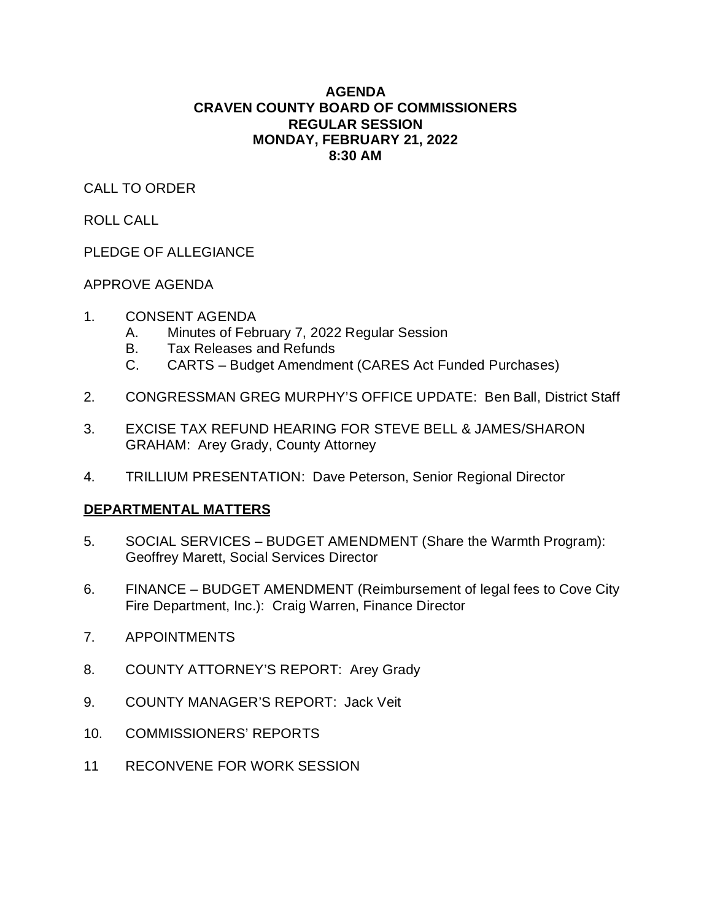### **AGENDA CRAVEN COUNTY BOARD OF COMMISSIONERS REGULAR SESSION MONDAY, FEBRUARY 21, 2022 8:30 AM**

# CALL TO ORDER

ROLL CALL

PLEDGE OF ALLEGIANCE

# APPROVE AGENDA

- 1. CONSENT AGENDA
	- A. Minutes of February 7, 2022 Regular Session
	- B. Tax Releases and Refunds
	- C. CARTS Budget Amendment (CARES Act Funded Purchases)
- 2. CONGRESSMAN GREG MURPHY'S OFFICE UPDATE: Ben Ball, District Staff
- 3. EXCISE TAX REFUND HEARING FOR STEVE BELL & JAMES/SHARON GRAHAM: Arey Grady, County Attorney
- 4. TRILLIUM PRESENTATION: Dave Peterson, Senior Regional Director

# **DEPARTMENTAL MATTERS**

- 5. SOCIAL SERVICES BUDGET AMENDMENT (Share the Warmth Program): Geoffrey Marett, Social Services Director
- 6. FINANCE BUDGET AMENDMENT (Reimbursement of legal fees to Cove City Fire Department, Inc.): Craig Warren, Finance Director
- 7. APPOINTMENTS
- 8. COUNTY ATTORNEY'S REPORT: Arey Grady
- 9. COUNTY MANAGER'S REPORT: Jack Veit
- 10. COMMISSIONERS' REPORTS
- 11 RECONVENE FOR WORK SESSION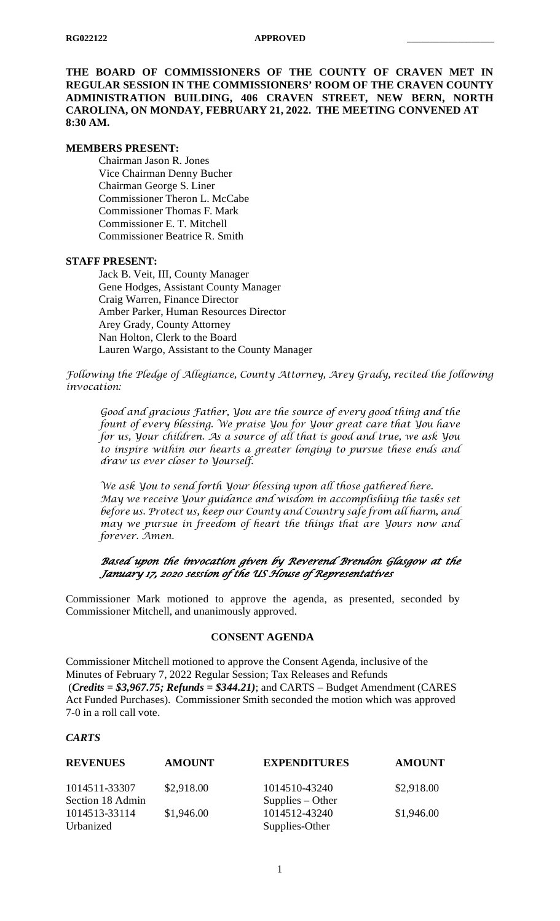**THE BOARD OF COMMISSIONERS OF THE COUNTY OF CRAVEN MET IN REGULAR SESSION IN THE COMMISSIONERS' ROOM OF THE CRAVEN COUNTY ADMINISTRATION BUILDING, 406 CRAVEN STREET, NEW BERN, NORTH CAROLINA, ON MONDAY, FEBRUARY 21, 2022. THE MEETING CONVENED AT 8:30 AM.**

#### **MEMBERS PRESENT:**

Chairman Jason R. Jones Vice Chairman Denny Bucher Chairman George S. Liner Commissioner Theron L. McCabe Commissioner Thomas F. Mark Commissioner E. T. Mitchell Commissioner Beatrice R. Smith

#### **STAFF PRESENT:**

Jack B. Veit, III, County Manager Gene Hodges, Assistant County Manager Craig Warren, Finance Director Amber Parker, Human Resources Director Arey Grady, County Attorney Nan Holton, Clerk to the Board Lauren Wargo, Assistant to the County Manager

*Following the Pledge of Allegiance, County Attorney, Arey Grady, recited the following invocation:*

*Good and gracious Father, You are the source of every good thing and the fount of every blessing. We praise You for Your great care that You have for us, Your children. As a source of all that is good and true, we ask You to inspire within our hearts a greater longing to pursue these ends and draw us ever closer to Yourself.*

*We ask You to send forth Your blessing upon all those gathered here. May we receive Your guidance and wisdom in accomplishing the tasks set before us. Protect us, keep our County and Country safe from all harm, and may we pursue in freedom of heart the things that are Yours now and forever. Amen.* 

*Based upon the invocation given by Reverend Brendon Glasgow at the January 17, 2020 session of the US House of Representatives* 

Commissioner Mark motioned to approve the agenda, as presented, seconded by Commissioner Mitchell, and unanimously approved.

# **CONSENT AGENDA**

Commissioner Mitchell motioned to approve the Consent Agenda, inclusive of the Minutes of February 7, 2022 Regular Session; Tax Releases and Refunds (*Credits = \$3,967.75; Refunds = \$344.21)*; and CARTS – Budget Amendment (CARES Act Funded Purchases). Commissioner Smith seconded the motion which was approved 7-0 in a roll call vote.

### *CARTS*

| <b>REVENUES</b>  | <b>AMOUNT</b> | <b>EXPENDITURES</b> | <b>AMOUNT</b> |
|------------------|---------------|---------------------|---------------|
| 1014511-33307    | \$2,918.00    | 1014510-43240       | \$2,918.00    |
| Section 18 Admin |               | $Supplies - Other$  |               |
| 1014513-33114    | \$1,946.00    | 1014512-43240       | \$1,946.00    |
| Urbanized        |               | Supplies-Other      |               |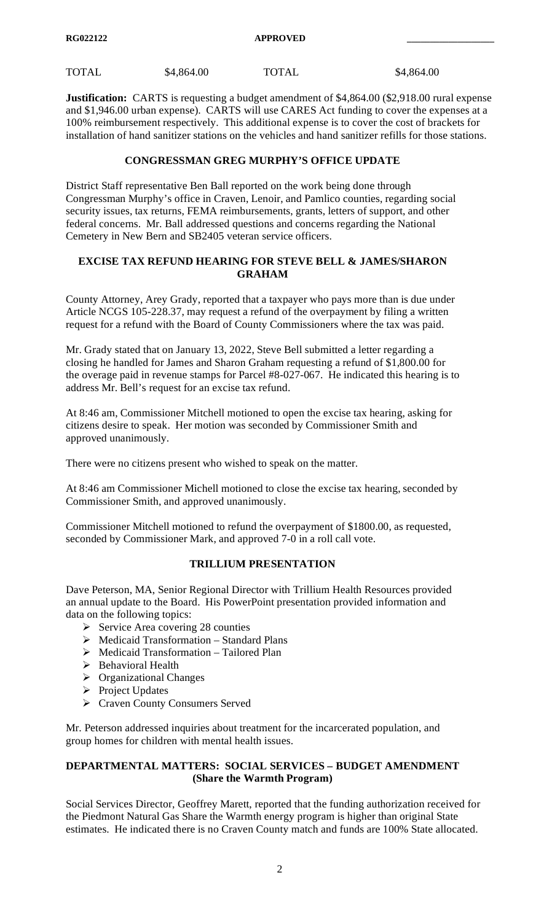**Justification:** CARTS is requesting a budget amendment of \$4,864.00 (\$2,918.00 rural expense and \$1,946.00 urban expense). CARTS will use CARES Act funding to cover the expenses at a 100% reimbursement respectively. This additional expense is to cover the cost of brackets for installation of hand sanitizer stations on the vehicles and hand sanitizer refills for those stations.

# **CONGRESSMAN GREG MURPHY'S OFFICE UPDATE**

District Staff representative Ben Ball reported on the work being done through Congressman Murphy's office in Craven, Lenoir, and Pamlico counties, regarding social security issues, tax returns, FEMA reimbursements, grants, letters of support, and other federal concerns. Mr. Ball addressed questions and concerns regarding the National Cemetery in New Bern and SB2405 veteran service officers.

### **EXCISE TAX REFUND HEARING FOR STEVE BELL & JAMES/SHARON GRAHAM**

County Attorney, Arey Grady, reported that a taxpayer who pays more than is due under Article NCGS 105-228.37, may request a refund of the overpayment by filing a written request for a refund with the Board of County Commissioners where the tax was paid.

Mr. Grady stated that on January 13, 2022, Steve Bell submitted a letter regarding a closing he handled for James and Sharon Graham requesting a refund of \$1,800.00 for the overage paid in revenue stamps for Parcel #8-027-067. He indicated this hearing is to address Mr. Bell's request for an excise tax refund.

At 8:46 am, Commissioner Mitchell motioned to open the excise tax hearing, asking for citizens desire to speak. Her motion was seconded by Commissioner Smith and approved unanimously.

There were no citizens present who wished to speak on the matter.

At 8:46 am Commissioner Michell motioned to close the excise tax hearing, seconded by Commissioner Smith, and approved unanimously.

Commissioner Mitchell motioned to refund the overpayment of \$1800.00, as requested, seconded by Commissioner Mark, and approved 7-0 in a roll call vote.

# **TRILLIUM PRESENTATION**

Dave Peterson, MA, Senior Regional Director with Trillium Health Resources provided an annual update to the Board. His PowerPoint presentation provided information and data on the following topics:

- $\triangleright$  Service Area covering 28 counties
- $\triangleright$  Medicaid Transformation Standard Plans
- Medicaid Transformation Tailored Plan
- $\triangleright$  Behavioral Health
- $\triangleright$  Organizational Changes
- $\triangleright$  Project Updates
- Craven County Consumers Served

Mr. Peterson addressed inquiries about treatment for the incarcerated population, and group homes for children with mental health issues.

# **DEPARTMENTAL MATTERS: SOCIAL SERVICES – BUDGET AMENDMENT (Share the Warmth Program)**

Social Services Director, Geoffrey Marett, reported that the funding authorization received for the Piedmont Natural Gas Share the Warmth energy program is higher than original State estimates. He indicated there is no Craven County match and funds are 100% State allocated.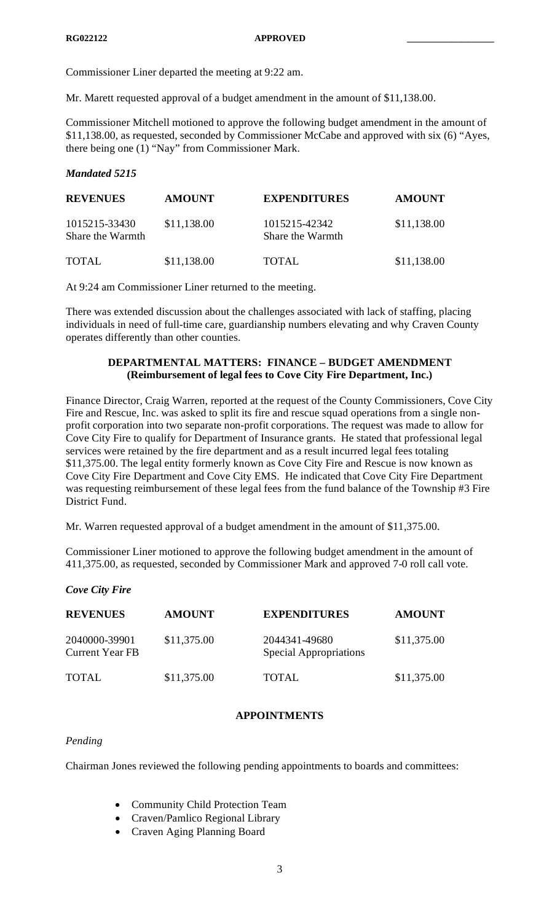Commissioner Liner departed the meeting at 9:22 am.

Mr. Marett requested approval of a budget amendment in the amount of \$11,138.00.

Commissioner Mitchell motioned to approve the following budget amendment in the amount of \$11,138.00, as requested, seconded by Commissioner McCabe and approved with six (6) "Ayes, there being one (1) "Nay" from Commissioner Mark.

# *Mandated 5215*

| <b>REVENUES</b>                   | <b>AMOUNT</b> | <b>EXPENDITURES</b>               | <b>AMOUNT</b> |
|-----------------------------------|---------------|-----------------------------------|---------------|
| 1015215-33430<br>Share the Warmth | \$11,138.00   | 1015215-42342<br>Share the Warmth | \$11,138.00   |
| <b>TOTAL</b>                      | \$11,138.00   | TOTAL                             | \$11,138.00   |

At 9:24 am Commissioner Liner returned to the meeting.

There was extended discussion about the challenges associated with lack of staffing, placing individuals in need of full-time care, guardianship numbers elevating and why Craven County operates differently than other counties.

# **DEPARTMENTAL MATTERS: FINANCE – BUDGET AMENDMENT (Reimbursement of legal fees to Cove City Fire Department, Inc.)**

Finance Director, Craig Warren, reported at the request of the County Commissioners, Cove City Fire and Rescue, Inc. was asked to split its fire and rescue squad operations from a single nonprofit corporation into two separate non-profit corporations. The request was made to allow for Cove City Fire to qualify for Department of Insurance grants. He stated that professional legal services were retained by the fire department and as a result incurred legal fees totaling \$11,375.00. The legal entity formerly known as Cove City Fire and Rescue is now known as Cove City Fire Department and Cove City EMS. He indicated that Cove City Fire Department was requesting reimbursement of these legal fees from the fund balance of the Township #3 Fire District Fund.

Mr. Warren requested approval of a budget amendment in the amount of \$11,375.00.

Commissioner Liner motioned to approve the following budget amendment in the amount of 411,375.00, as requested, seconded by Commissioner Mark and approved 7-0 roll call vote.

*Cove City Fire*

| <b>REVENUES</b>                         | <b>AMOUNT</b> | <b>EXPENDITURES</b>                            | <b>AMOUNT</b> |
|-----------------------------------------|---------------|------------------------------------------------|---------------|
| 2040000-39901<br><b>Current Year FB</b> | \$11,375.00   | 2044341-49680<br><b>Special Appropriations</b> | \$11,375.00   |
| <b>TOTAL</b>                            | \$11,375.00   | TOTAL                                          | \$11,375.00   |

# **APPOINTMENTS**

# *Pending*

Chairman Jones reviewed the following pending appointments to boards and committees:

- Community Child Protection Team
- Craven/Pamlico Regional Library
- Craven Aging Planning Board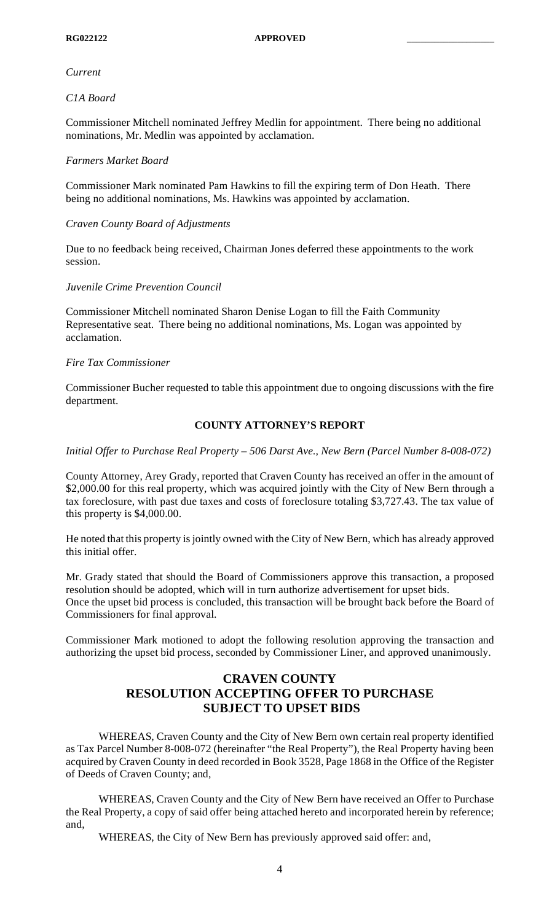#### *Current*

#### *C1A Board*

Commissioner Mitchell nominated Jeffrey Medlin for appointment. There being no additional nominations, Mr. Medlin was appointed by acclamation.

#### *Farmers Market Board*

Commissioner Mark nominated Pam Hawkins to fill the expiring term of Don Heath. There being no additional nominations, Ms. Hawkins was appointed by acclamation.

#### *Craven County Board of Adjustments*

Due to no feedback being received, Chairman Jones deferred these appointments to the work session.

#### *Juvenile Crime Prevention Council*

Commissioner Mitchell nominated Sharon Denise Logan to fill the Faith Community Representative seat. There being no additional nominations, Ms. Logan was appointed by acclamation.

#### *Fire Tax Commissioner*

Commissioner Bucher requested to table this appointment due to ongoing discussions with the fire department.

# **COUNTY ATTORNEY'S REPORT**

*Initial Offer to Purchase Real Property – 506 Darst Ave., New Bern (Parcel Number 8-008-072)*

County Attorney, Arey Grady, reported that Craven County has received an offer in the amount of \$2,000.00 for this real property, which was acquired jointly with the City of New Bern through a tax foreclosure, with past due taxes and costs of foreclosure totaling \$3,727.43. The tax value of this property is \$4,000.00.

He noted that this property is jointly owned with the City of New Bern, which has already approved this initial offer.

Mr. Grady stated that should the Board of Commissioners approve this transaction, a proposed resolution should be adopted, which will in turn authorize advertisement for upset bids. Once the upset bid process is concluded, this transaction will be brought back before the Board of Commissioners for final approval.

Commissioner Mark motioned to adopt the following resolution approving the transaction and authorizing the upset bid process, seconded by Commissioner Liner, and approved unanimously.

# **CRAVEN COUNTY RESOLUTION ACCEPTING OFFER TO PURCHASE SUBJECT TO UPSET BIDS**

WHEREAS, Craven County and the City of New Bern own certain real property identified as Tax Parcel Number 8-008-072 (hereinafter "the Real Property"), the Real Property having been acquired by Craven County in deed recorded in Book 3528, Page 1868 in the Office of the Register of Deeds of Craven County; and,

WHEREAS, Craven County and the City of New Bern have received an Offer to Purchase the Real Property, a copy of said offer being attached hereto and incorporated herein by reference; and,

WHEREAS, the City of New Bern has previously approved said offer: and,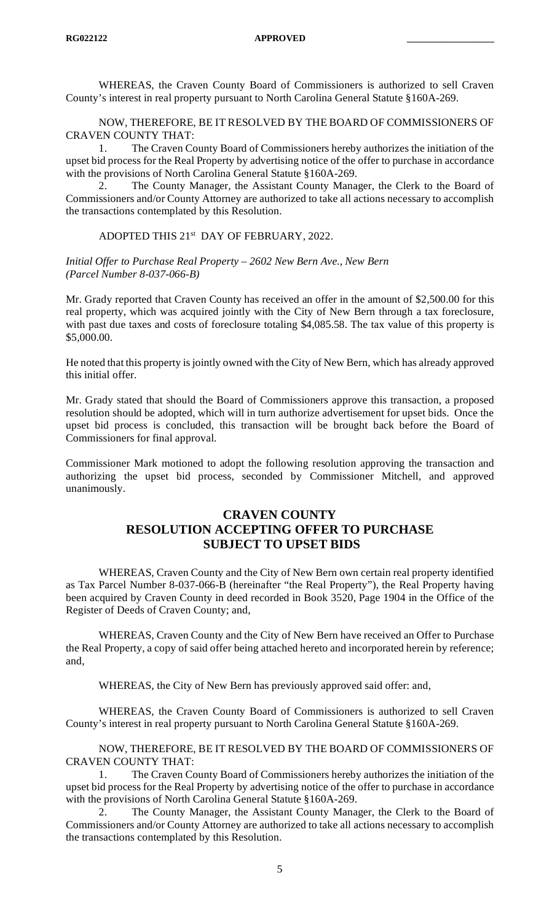WHEREAS, the Craven County Board of Commissioners is authorized to sell Craven County's interest in real property pursuant to North Carolina General Statute §160A-269.

NOW, THEREFORE, BE IT RESOLVED BY THE BOARD OF COMMISSIONERS OF CRAVEN COUNTY THAT:

1. The Craven County Board of Commissioners hereby authorizes the initiation of the upset bid process for the Real Property by advertising notice of the offer to purchase in accordance with the provisions of North Carolina General Statute §160A-269.

2. The County Manager, the Assistant County Manager, the Clerk to the Board of Commissioners and/or County Attorney are authorized to take all actions necessary to accomplish the transactions contemplated by this Resolution.

#### ADOPTED THIS 21st DAY OF FEBRUARY, 2022.

#### *Initial Offer to Purchase Real Property – 2602 New Bern Ave., New Bern (Parcel Number 8-037-066-B)*

Mr. Grady reported that Craven County has received an offer in the amount of \$2,500.00 for this real property, which was acquired jointly with the City of New Bern through a tax foreclosure, with past due taxes and costs of foreclosure totaling \$4,085.58. The tax value of this property is \$5,000.00.

He noted that this property is jointly owned with the City of New Bern, which has already approved this initial offer.

Mr. Grady stated that should the Board of Commissioners approve this transaction, a proposed resolution should be adopted, which will in turn authorize advertisement for upset bids. Once the upset bid process is concluded, this transaction will be brought back before the Board of Commissioners for final approval.

Commissioner Mark motioned to adopt the following resolution approving the transaction and authorizing the upset bid process, seconded by Commissioner Mitchell, and approved unanimously.

# **CRAVEN COUNTY RESOLUTION ACCEPTING OFFER TO PURCHASE SUBJECT TO UPSET BIDS**

WHEREAS, Craven County and the City of New Bern own certain real property identified as Tax Parcel Number 8-037-066-B (hereinafter "the Real Property"), the Real Property having been acquired by Craven County in deed recorded in Book 3520, Page 1904 in the Office of the Register of Deeds of Craven County; and,

WHEREAS, Craven County and the City of New Bern have received an Offer to Purchase the Real Property, a copy of said offer being attached hereto and incorporated herein by reference; and,

WHEREAS, the City of New Bern has previously approved said offer: and,

WHEREAS, the Craven County Board of Commissioners is authorized to sell Craven County's interest in real property pursuant to North Carolina General Statute §160A-269.

NOW, THEREFORE, BE IT RESOLVED BY THE BOARD OF COMMISSIONERS OF CRAVEN COUNTY THAT:

1. The Craven County Board of Commissioners hereby authorizes the initiation of the upset bid process for the Real Property by advertising notice of the offer to purchase in accordance with the provisions of North Carolina General Statute §160A-269.

2. The County Manager, the Assistant County Manager, the Clerk to the Board of Commissioners and/or County Attorney are authorized to take all actions necessary to accomplish the transactions contemplated by this Resolution.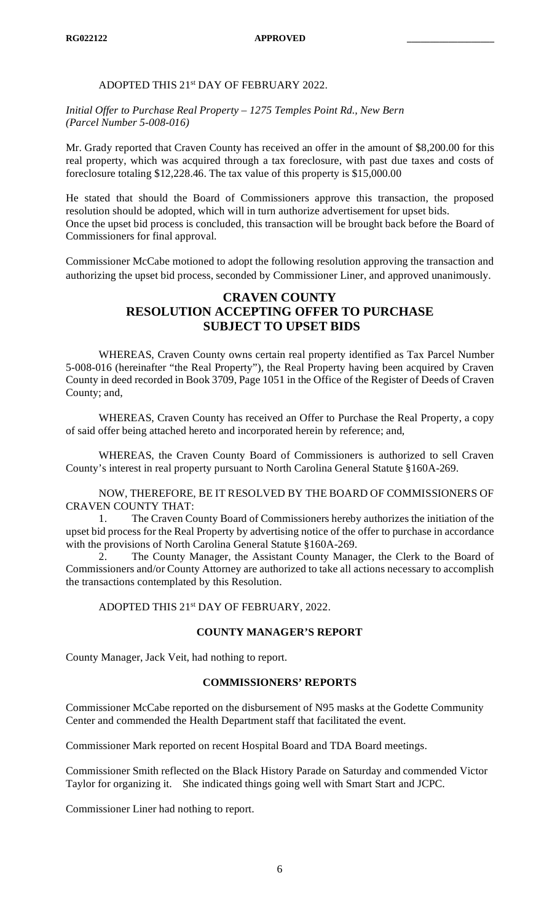# ADOPTED THIS 21st DAY OF FEBRUARY 2022.

*Initial Offer to Purchase Real Property – 1275 Temples Point Rd., New Bern (Parcel Number 5-008-016)*

Mr. Grady reported that Craven County has received an offer in the amount of \$8,200.00 for this real property, which was acquired through a tax foreclosure, with past due taxes and costs of foreclosure totaling \$12,228.46. The tax value of this property is \$15,000.00

He stated that should the Board of Commissioners approve this transaction, the proposed resolution should be adopted, which will in turn authorize advertisement for upset bids. Once the upset bid process is concluded, this transaction will be brought back before the Board of Commissioners for final approval.

Commissioner McCabe motioned to adopt the following resolution approving the transaction and authorizing the upset bid process, seconded by Commissioner Liner, and approved unanimously.

# **CRAVEN COUNTY RESOLUTION ACCEPTING OFFER TO PURCHASE SUBJECT TO UPSET BIDS**

WHEREAS, Craven County owns certain real property identified as Tax Parcel Number 5-008-016 (hereinafter "the Real Property"), the Real Property having been acquired by Craven County in deed recorded in Book 3709, Page 1051 in the Office of the Register of Deeds of Craven County; and,

WHEREAS, Craven County has received an Offer to Purchase the Real Property, a copy of said offer being attached hereto and incorporated herein by reference; and,

WHEREAS, the Craven County Board of Commissioners is authorized to sell Craven County's interest in real property pursuant to North Carolina General Statute §160A-269.

NOW, THEREFORE, BE IT RESOLVED BY THE BOARD OF COMMISSIONERS OF CRAVEN COUNTY THAT:

1. The Craven County Board of Commissioners hereby authorizes the initiation of the upset bid process for the Real Property by advertising notice of the offer to purchase in accordance with the provisions of North Carolina General Statute §160A-269.

2. The County Manager, the Assistant County Manager, the Clerk to the Board of Commissioners and/or County Attorney are authorized to take all actions necessary to accomplish the transactions contemplated by this Resolution.

ADOPTED THIS 21st DAY OF FEBRUARY, 2022.

# **COUNTY MANAGER'S REPORT**

County Manager, Jack Veit, had nothing to report.

# **COMMISSIONERS' REPORTS**

Commissioner McCabe reported on the disbursement of N95 masks at the Godette Community Center and commended the Health Department staff that facilitated the event.

Commissioner Mark reported on recent Hospital Board and TDA Board meetings.

Commissioner Smith reflected on the Black History Parade on Saturday and commended Victor Taylor for organizing it. She indicated things going well with Smart Start and JCPC.

Commissioner Liner had nothing to report.